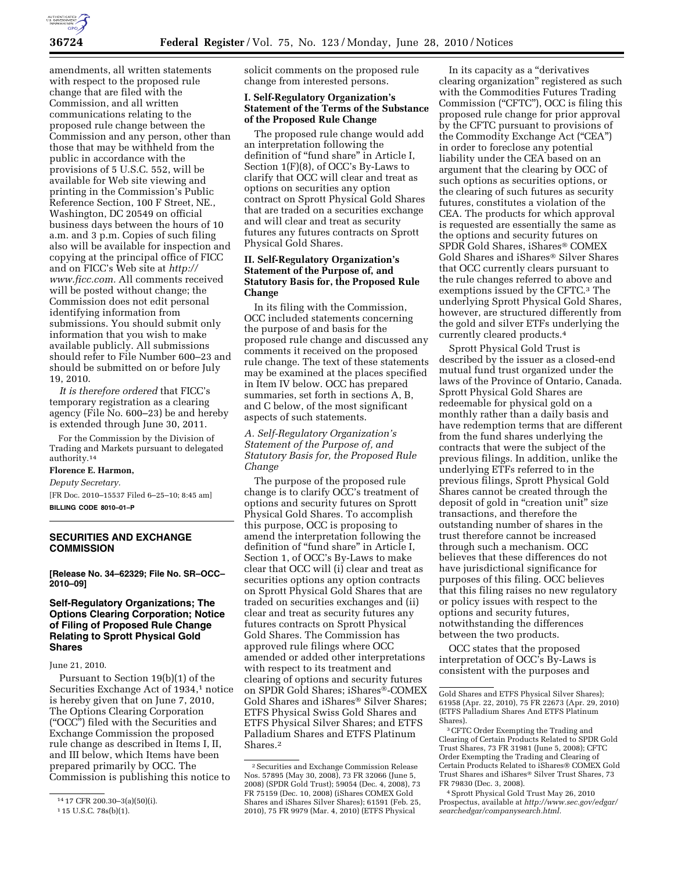

amendments, all written statements with respect to the proposed rule change that are filed with the Commission, and all written communications relating to the proposed rule change between the Commission and any person, other than those that may be withheld from the public in accordance with the provisions of 5 U.S.C. 552, will be available for Web site viewing and printing in the Commission's Public Reference Section, 100 F Street, NE., Washington, DC 20549 on official business days between the hours of 10 a.m. and 3 p.m. Copies of such filing also will be available for inspection and copying at the principal office of FICC and on FICC's Web site at *http:// www.ficc.com.* All comments received will be posted without change; the Commission does not edit personal identifying information from submissions. You should submit only information that you wish to make available publicly. All submissions should refer to File Number 600–23 and should be submitted on or before July 19, 2010.

*It is therefore ordered* that FICC's temporary registration as a clearing agency (File No. 600–23) be and hereby is extended through June 30, 2011.

For the Commission by the Division of Trading and Markets pursuant to delegated authority.14

### **Florence E. Harmon,**

*Deputy Secretary.* 

[FR Doc. 2010–15537 Filed 6–25–10; 8:45 am] **BILLING CODE 8010–01–P** 

## **SECURITIES AND EXCHANGE COMMISSION**

**[Release No. 34–62329; File No. SR–OCC– 2010–09]** 

## **Self-Regulatory Organizations; The Options Clearing Corporation; Notice of Filing of Proposed Rule Change Relating to Sprott Physical Gold Shares**

### June 21, 2010.

Pursuant to Section 19(b)(1) of the Securities Exchange Act of 1934,<sup>1</sup> notice is hereby given that on June 7, 2010, The Options Clearing Corporation (''OCC'') filed with the Securities and Exchange Commission the proposed rule change as described in Items I, II, and III below, which Items have been prepared primarily by OCC. The Commission is publishing this notice to

solicit comments on the proposed rule change from interested persons.

#### **I. Self-Regulatory Organization's Statement of the Terms of the Substance of the Proposed Rule Change**

The proposed rule change would add an interpretation following the definition of "fund share" in Article I, Section 1(F)(8), of OCC's By-Laws to clarify that OCC will clear and treat as options on securities any option contract on Sprott Physical Gold Shares that are traded on a securities exchange and will clear and treat as security futures any futures contracts on Sprott Physical Gold Shares.

### **II. Self-Regulatory Organization's Statement of the Purpose of, and Statutory Basis for, the Proposed Rule Change**

In its filing with the Commission, OCC included statements concerning the purpose of and basis for the proposed rule change and discussed any comments it received on the proposed rule change. The text of these statements may be examined at the places specified in Item IV below. OCC has prepared summaries, set forth in sections A, B, and C below, of the most significant aspects of such statements.

*A. Self-Regulatory Organization's Statement of the Purpose of, and Statutory Basis for, the Proposed Rule Change* 

The purpose of the proposed rule change is to clarify OCC's treatment of options and security futures on Sprott Physical Gold Shares. To accomplish this purpose, OCC is proposing to amend the interpretation following the definition of "fund share" in Article I, Section 1, of OCC's By-Laws to make clear that OCC will (i) clear and treat as securities options any option contracts on Sprott Physical Gold Shares that are traded on securities exchanges and (ii) clear and treat as security futures any futures contracts on Sprott Physical Gold Shares. The Commission has approved rule filings where OCC amended or added other interpretations with respect to its treatment and clearing of options and security futures on SPDR Gold Shares; iShares®-COMEX Gold Shares and iShares® Silver Shares; ETFS Physical Swiss Gold Shares and ETFS Physical Silver Shares; and ETFS Palladium Shares and ETFS Platinum Shares.2

In its capacity as a ''derivatives clearing organization'' registered as such with the Commodities Futures Trading Commission (''CFTC''), OCC is filing this proposed rule change for prior approval by the CFTC pursuant to provisions of the Commodity Exchange Act (''CEA'') in order to foreclose any potential liability under the CEA based on an argument that the clearing by OCC of such options as securities options, or the clearing of such futures as security futures, constitutes a violation of the CEA. The products for which approval is requested are essentially the same as the options and security futures on SPDR Gold Shares, iShares® COMEX Gold Shares and iShares® Silver Shares that OCC currently clears pursuant to the rule changes referred to above and exemptions issued by the CFTC.3 The underlying Sprott Physical Gold Shares, however, are structured differently from the gold and silver ETFs underlying the currently cleared products.4

Sprott Physical Gold Trust is described by the issuer as a closed-end mutual fund trust organized under the laws of the Province of Ontario, Canada. Sprott Physical Gold Shares are redeemable for physical gold on a monthly rather than a daily basis and have redemption terms that are different from the fund shares underlying the contracts that were the subject of the previous filings. In addition, unlike the underlying ETFs referred to in the previous filings, Sprott Physical Gold Shares cannot be created through the deposit of gold in "creation unit" size transactions, and therefore the outstanding number of shares in the trust therefore cannot be increased through such a mechanism. OCC believes that these differences do not have jurisdictional significance for purposes of this filing. OCC believes that this filing raises no new regulatory or policy issues with respect to the options and security futures, notwithstanding the differences between the two products.

OCC states that the proposed interpretation of OCC's By-Laws is consistent with the purposes and

<sup>14</sup> 17 CFR 200.30–3(a)(50)(i).

<sup>1</sup> 15 U.S.C. 78s(b)(1).

<sup>2</sup>Securities and Exchange Commission Release Nos. 57895 (May 30, 2008), 73 FR 32066 (June 5, 2008) (SPDR Gold Trust); 59054 (Dec. 4, 2008), 73 FR 75159 (Dec. 10, 2008) (iShares COMEX Gold Shares and iShares Silver Shares); 61591 (Feb. 25, 2010), 75 FR 9979 (Mar. 4, 2010) (ETFS Physical

Gold Shares and ETFS Physical Silver Shares); 61958 (Apr. 22, 2010), 75 FR 22673 (Apr. 29, 2010) (ETFS Palladium Shares And ETFS Platinum Shares).

<sup>3</sup>CFTC Order Exempting the Trading and Clearing of Certain Products Related to SPDR Gold Trust Shares, 73 FR 31981 (June 5, 2008); CFTC Order Exempting the Trading and Clearing of Certain Products Related to iShares® COMEX Gold Trust Shares and iShares® Silver Trust Shares, 73 FR 79830 (Dec. 3, 2008).

<sup>4</sup>Sprott Physical Gold Trust May 26, 2010 Prospectus, available at *http://www.sec.gov/edgar/ searchedgar/companysearch.html.*